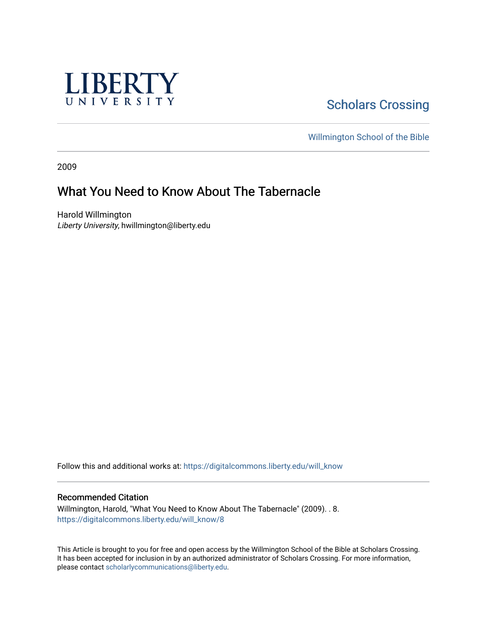

# **Scholars Crossing**

[Willmington School of the Bible](https://digitalcommons.liberty.edu/will_bible) 

2009

## What You Need to Know About The Tabernacle

Harold Willmington Liberty University, hwillmington@liberty.edu

Follow this and additional works at: [https://digitalcommons.liberty.edu/will\\_know](https://digitalcommons.liberty.edu/will_know?utm_source=digitalcommons.liberty.edu%2Fwill_know%2F8&utm_medium=PDF&utm_campaign=PDFCoverPages)

#### Recommended Citation

Willmington, Harold, "What You Need to Know About The Tabernacle" (2009). . 8. [https://digitalcommons.liberty.edu/will\\_know/8](https://digitalcommons.liberty.edu/will_know/8?utm_source=digitalcommons.liberty.edu%2Fwill_know%2F8&utm_medium=PDF&utm_campaign=PDFCoverPages) 

This Article is brought to you for free and open access by the Willmington School of the Bible at Scholars Crossing. It has been accepted for inclusion in by an authorized administrator of Scholars Crossing. For more information, please contact [scholarlycommunications@liberty.edu.](mailto:scholarlycommunications@liberty.edu)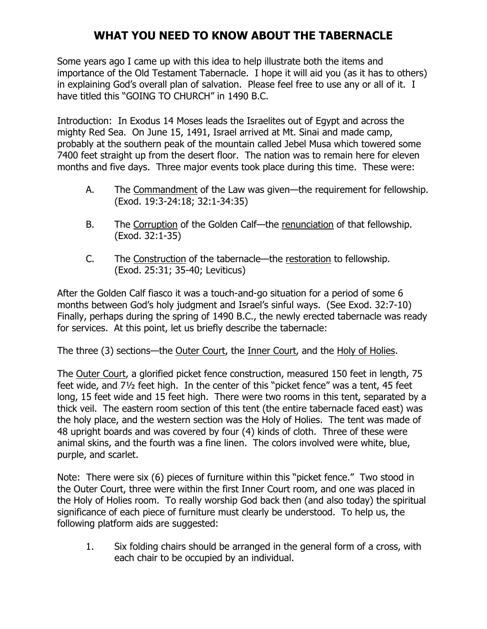## WHAT YOU NEED TO KNOW ABOUT THE TABERNACLE

Some years ago I came up with this idea to help illustrate both the items and importance of the Old Testament Tabernacle. I hope it will aid you (as it has to others) in explaining God's overall plan of salvation. Please feel free to use any or all of it. I have titled this "GOING TO CHURCH" in 1490 B.C.

Introduction: In Exodus 14 Moses leads the Israelites out of Egypt and across the mighty Red Sea. On June 15, 1491, Israel arrived at Mt. Sinai and made camp, probably at the southern peak of the mountain called Jebel Musa which towered some 7400 feet straight up from the desert floor. The nation was to remain here for eleven months and five days. Three major events took place during this time. These were:

- A. The Commandment of the Law was given—the requirement for fellowship. (Exod. 19:3-24:18; 32:1-34:35)
- B. The Corruption of the Golden Calf—the renunciation of that fellowship. (Exod. 32:1-35)
- C. The Construction of the tabernacle—the restoration to fellowship. (Exod. 25:31; 35-40; Leviticus)

After the Golden Calf fiasco it was a touch-and-go situation for a period of some 6 months between God's holy judgment and Israel's sinful ways. (See Exod. 32:7-10) Finally, perhaps during the spring of 1490 B.C., the newly erected tabernacle was ready for services. At this point, let us briefly describe the tabernacle:

The three (3) sections—the Outer Court, the Inner Court, and the Holy of Holies.

The Outer Court, a glorified picket fence construction, measured 150 feet in length, 75 feet wide, and 7½ feet high. In the center of this "picket fence" was a tent, 45 feet long, 15 feet wide and 15 feet high. There were two rooms in this tent, separated by a thick veil. The eastern room section of this tent (the entire tabernacle faced east) was the holy place, and the western section was the Holy of Holies. The tent was made of 48 upright boards and was covered by four (4) kinds of cloth. Three of these were animal skins, and the fourth was a fine linen. The colors involved were white, blue, purple, and scarlet.

Note: There were six (6) pieces of furniture within this "picket fence." Two stood in the Outer Court, three were within the first Inner Court room, and one was placed in the Holy of Holies room. To really worship God back then (and also today) the spiritual significance of each piece of furniture must clearly be understood. To help us, the following platform aids are suggested:

1. Six folding chairs should be arranged in the general form of a cross, with each chair to be occupied by an individual.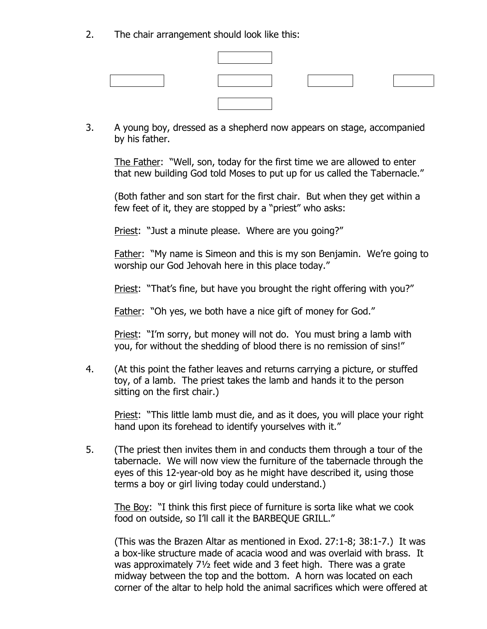2. The chair arrangement should look like this:

3. A young boy, dressed as a shepherd now appears on stage, accompanied by his father.

The Father: "Well, son, today for the first time we are allowed to enter that new building God told Moses to put up for us called the Tabernacle."

(Both father and son start for the first chair. But when they get within a few feet of it, they are stopped by a "priest" who asks:

Priest: "Just a minute please. Where are you going?"

Father: "My name is Simeon and this is my son Benjamin. We're going to worship our God Jehovah here in this place today."

Priest: "That's fine, but have you brought the right offering with you?"

Father: "Oh yes, we both have a nice gift of money for God."

Priest: "I'm sorry, but money will not do. You must bring a lamb with you, for without the shedding of blood there is no remission of sins!"

4. (At this point the father leaves and returns carrying a picture, or stuffed toy, of a lamb. The priest takes the lamb and hands it to the person sitting on the first chair.)

 Priest: "This little lamb must die, and as it does, you will place your right hand upon its forehead to identify yourselves with it."

5. (The priest then invites them in and conducts them through a tour of the tabernacle. We will now view the furniture of the tabernacle through the eyes of this 12-year-old boy as he might have described it, using those terms a boy or girl living today could understand.)

 The Boy: "I think this first piece of furniture is sorta like what we cook food on outside, so I'll call it the BARBEQUE GRILL."

 (This was the Brazen Altar as mentioned in Exod. 27:1-8; 38:1-7.) It was a box-like structure made of acacia wood and was overlaid with brass. It was approximately 7½ feet wide and 3 feet high. There was a grate midway between the top and the bottom. A horn was located on each corner of the altar to help hold the animal sacrifices which were offered at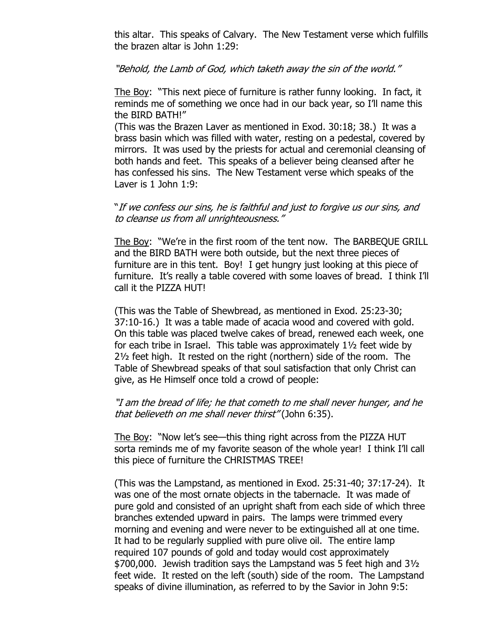this altar. This speaks of Calvary. The New Testament verse which fulfills the brazen altar is John 1:29:

"Behold, the Lamb of God, which taketh away the sin of the world."

 The Boy: "This next piece of furniture is rather funny looking. In fact, it reminds me of something we once had in our back year, so I'll name this the BIRD BATH!"

 (This was the Brazen Laver as mentioned in Exod. 30:18; 38.) It was a brass basin which was filled with water, resting on a pedestal, covered by mirrors. It was used by the priests for actual and ceremonial cleansing of both hands and feet. This speaks of a believer being cleansed after he has confessed his sins. The New Testament verse which speaks of the Laver is 1 John 1:9:

### "If we confess our sins, he is faithful and just to forgive us our sins, and to cleanse us from all unrighteousness."

 The Boy: "We're in the first room of the tent now. The BARBEQUE GRILL and the BIRD BATH were both outside, but the next three pieces of furniture are in this tent. Boy! I get hungry just looking at this piece of furniture. It's really a table covered with some loaves of bread. I think I'll call it the PIZZA HUT!

 (This was the Table of Shewbread, as mentioned in Exod. 25:23-30; 37:10-16.) It was a table made of acacia wood and covered with gold. On this table was placed twelve cakes of bread, renewed each week, one for each tribe in Israel. This table was approximately 1½ feet wide by 2½ feet high. It rested on the right (northern) side of the room. The Table of Shewbread speaks of that soul satisfaction that only Christ can give, as He Himself once told a crowd of people:

### "I am the bread of life; he that cometh to me shall never hunger, and he that believeth on me shall never thirst" (John 6:35).

 The Boy: "Now let's see—this thing right across from the PIZZA HUT sorta reminds me of my favorite season of the whole year! I think I'll call this piece of furniture the CHRISTMAS TREE!

 (This was the Lampstand, as mentioned in Exod. 25:31-40; 37:17-24). It was one of the most ornate objects in the tabernacle. It was made of pure gold and consisted of an upright shaft from each side of which three branches extended upward in pairs. The lamps were trimmed every morning and evening and were never to be extinguished all at one time. It had to be regularly supplied with pure olive oil. The entire lamp required 107 pounds of gold and today would cost approximately \$700,000. Jewish tradition says the Lampstand was 5 feet high and 3½ feet wide. It rested on the left (south) side of the room. The Lampstand speaks of divine illumination, as referred to by the Savior in John 9:5: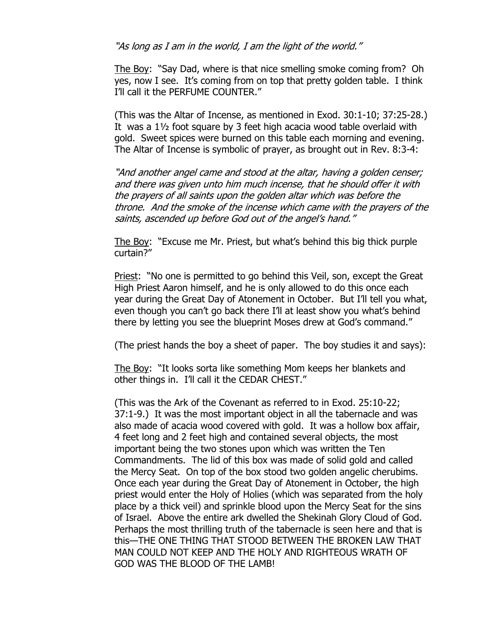"As long as I am in the world, I am the light of the world."

 The Boy: "Say Dad, where is that nice smelling smoke coming from? Oh yes, now I see. It's coming from on top that pretty golden table. I think I'll call it the PERFUME COUNTER."

 (This was the Altar of Incense, as mentioned in Exod. 30:1-10; 37:25-28.) It was a 1½ foot square by 3 feet high acacia wood table overlaid with gold. Sweet spices were burned on this table each morning and evening. The Altar of Incense is symbolic of prayer, as brought out in Rev. 8:3-4:

 "And another angel came and stood at the altar, having a golden censer; and there was given unto him much incense, that he should offer it with the prayers of all saints upon the golden altar which was before the throne. And the smoke of the incense which came with the prayers of the saints, ascended up before God out of the angel's hand."

 The Boy: "Excuse me Mr. Priest, but what's behind this big thick purple curtain?"

 Priest: "No one is permitted to go behind this Veil, son, except the Great High Priest Aaron himself, and he is only allowed to do this once each year during the Great Day of Atonement in October. But I'll tell you what, even though you can't go back there I'll at least show you what's behind there by letting you see the blueprint Moses drew at God's command."

(The priest hands the boy a sheet of paper. The boy studies it and says):

 The Boy: "It looks sorta like something Mom keeps her blankets and other things in. I'll call it the CEDAR CHEST."

 (This was the Ark of the Covenant as referred to in Exod. 25:10-22; 37:1-9.) It was the most important object in all the tabernacle and was also made of acacia wood covered with gold. It was a hollow box affair, 4 feet long and 2 feet high and contained several objects, the most important being the two stones upon which was written the Ten Commandments. The lid of this box was made of solid gold and called the Mercy Seat. On top of the box stood two golden angelic cherubims. Once each year during the Great Day of Atonement in October, the high priest would enter the Holy of Holies (which was separated from the holy place by a thick veil) and sprinkle blood upon the Mercy Seat for the sins of Israel. Above the entire ark dwelled the Shekinah Glory Cloud of God. Perhaps the most thrilling truth of the tabernacle is seen here and that is this—THE ONE THING THAT STOOD BETWEEN THE BROKEN LAW THAT MAN COULD NOT KEEP AND THE HOLY AND RIGHTEOUS WRATH OF GOD WAS THE BLOOD OF THE LAMB!